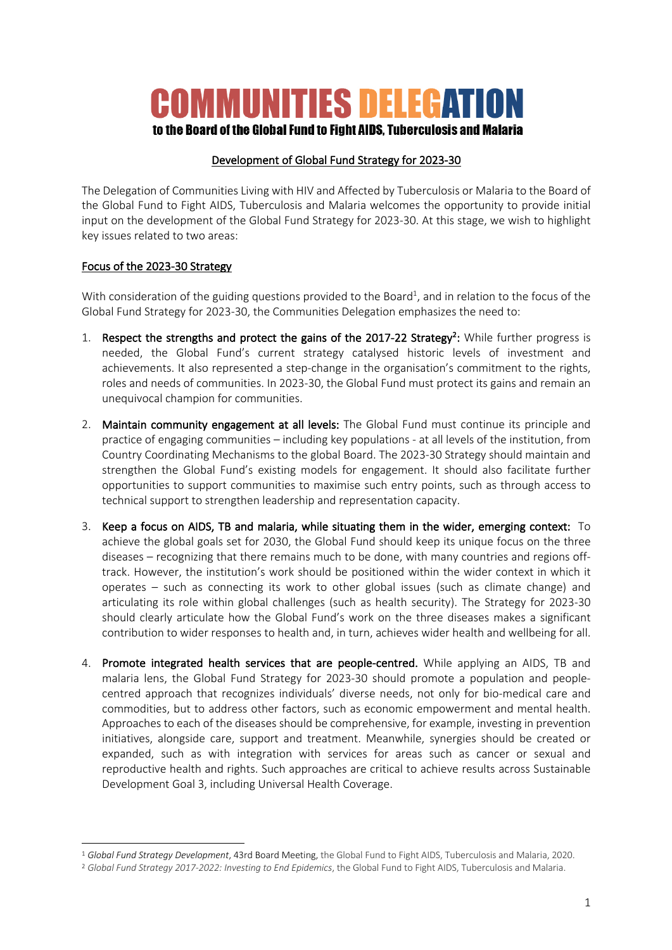# **COMMUNITIES DELEGATION**

## to the Board of the Global Fund to Fight AIDS. Tuberculosis and Malaria

#### Development of Global Fund Strategy for 2023-30

The Delegation of Communities Living with HIV and Affected by Tuberculosis or Malaria to the Board of the Global Fund to Fight AIDS, Tuberculosis and Malaria welcomes the opportunity to provide initial input on the development of the Global Fund Strategy for 2023-30. At this stage, we wish to highlight key issues related to two areas:

### Focus of the 2023-30 Strategy

With consideration of the guiding questions provided to the Board<sup>1</sup>, and in relation to the focus of the Global Fund Strategy for 2023-30, the Communities Delegation emphasizes the need to:

- 1. Respect the strengths and protect the gains of the 2017-22 Strategy<sup>2</sup>: While further progress is needed, the Global Fund's current strategy catalysed historic levels of investment and achievements. It also represented a step-change in the organisation's commitment to the rights, roles and needs of communities. In 2023-30, the Global Fund must protect its gains and remain an unequivocal champion for communities.
- 2. Maintain community engagement at all levels: The Global Fund must continue its principle and practice of engaging communities – including key populations - at all levels of the institution, from Country Coordinating Mechanisms to the global Board. The 2023-30 Strategy should maintain and strengthen the Global Fund's existing models for engagement. It should also facilitate further opportunities to support communities to maximise such entry points, such as through access to technical support to strengthen leadership and representation capacity.
- 3. Keep a focus on AIDS, TB and malaria, while situating them in the wider, emerging context: To achieve the global goals set for 2030, the Global Fund should keep its unique focus on the three diseases – recognizing that there remains much to be done, with many countries and regions offtrack. However, the institution's work should be positioned within the wider context in which it operates – such as connecting its work to other global issues (such as climate change) and articulating its role within global challenges (such as health security). The Strategy for 2023-30 should clearly articulate how the Global Fund's work on the three diseases makes a significant contribution to wider responses to health and, in turn, achieves wider health and wellbeing for all.
- 4. Promote integrated health services that are people-centred. While applying an AIDS, TB and malaria lens, the Global Fund Strategy for 2023-30 should promote a population and peoplecentred approach that recognizes individuals' diverse needs, not only for bio-medical care and commodities, but to address other factors, such as economic empowerment and mental health. Approaches to each of the diseases should be comprehensive, for example, investing in prevention initiatives, alongside care, support and treatment. Meanwhile, synergies should be created or expanded, such as with integration with services for areas such as cancer or sexual and reproductive health and rights. Such approaches are critical to achieve results across Sustainable Development Goal 3, including Universal Health Coverage.

<sup>1</sup> *Global Fund Strategy Development*, 43rd Board Meeting, the Global Fund to Fight AIDS, Tuberculosis and Malaria, 2020.

<sup>2</sup> *Global Fund Strategy 2017-2022: Investing to End Epidemics*, the Global Fund to Fight AIDS, Tuberculosis and Malaria.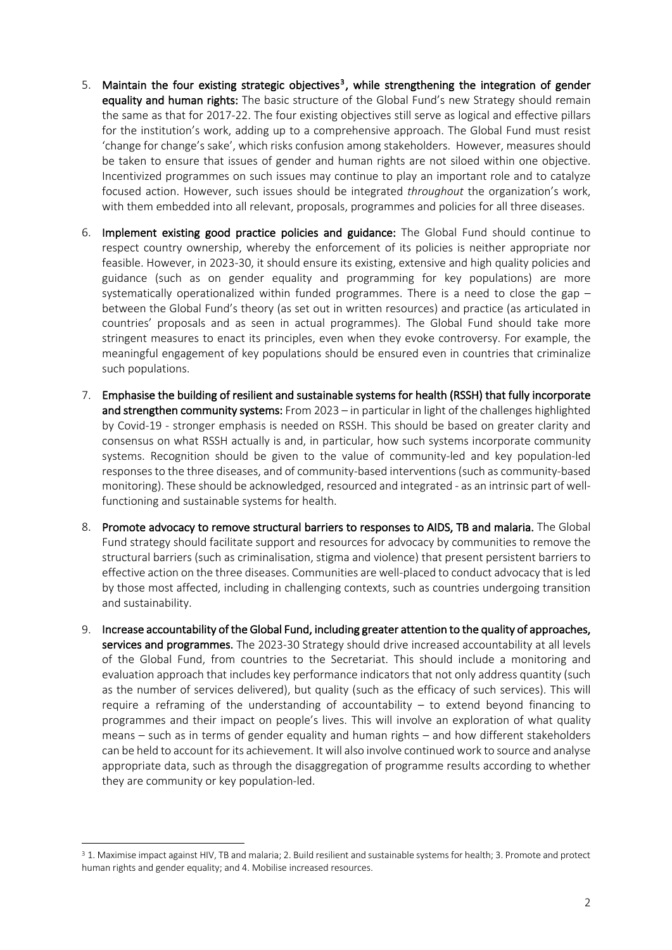- 5. Maintain the four existing strategic objectives<sup>3</sup>, while strengthening the integration of gender equality and human rights: The basic structure of the Global Fund's new Strategy should remain the same as that for 2017-22. The four existing objectives still serve as logical and effective pillars for the institution's work, adding up to a comprehensive approach. The Global Fund must resist 'change for change's sake', which risks confusion among stakeholders. However, measures should be taken to ensure that issues of gender and human rights are not siloed within one objective. Incentivized programmes on such issues may continue to play an important role and to catalyze focused action. However, such issues should be integrated *throughout* the organization's work, with them embedded into all relevant, proposals, programmes and policies for all three diseases.
- 6. Implement existing good practice policies and guidance: The Global Fund should continue to respect country ownership, whereby the enforcement of its policies is neither appropriate nor feasible. However, in 2023-30, it should ensure its existing, extensive and high quality policies and guidance (such as on gender equality and programming for key populations) are more systematically operationalized within funded programmes. There is a need to close the gap – between the Global Fund's theory (as set out in written resources) and practice (as articulated in countries' proposals and as seen in actual programmes). The Global Fund should take more stringent measures to enact its principles, even when they evoke controversy. For example, the meaningful engagement of key populations should be ensured even in countries that criminalize such populations.
- 7. Emphasise the building of resilient and sustainable systems for health (RSSH) that fully incorporate and strengthen community systems: From 2023 – in particular in light of the challenges highlighted by Covid-19 - stronger emphasis is needed on RSSH. This should be based on greater clarity and consensus on what RSSH actually is and, in particular, how such systems incorporate community systems. Recognition should be given to the value of community-led and key population-led responses to the three diseases, and of community-based interventions (such as community-based monitoring). These should be acknowledged, resourced and integrated - as an intrinsic part of wellfunctioning and sustainable systems for health.
- 8. Promote advocacy to remove structural barriers to responses to AIDS, TB and malaria. The Global Fund strategy should facilitate support and resources for advocacy by communities to remove the structural barriers (such as criminalisation, stigma and violence) that present persistent barriers to effective action on the three diseases. Communities are well-placed to conduct advocacy that is led by those most affected, including in challenging contexts, such as countries undergoing transition and sustainability.
- 9. Increase accountability of the Global Fund, including greater attention to the quality of approaches, services and programmes. The 2023-30 Strategy should drive increased accountability at all levels of the Global Fund, from countries to the Secretariat. This should include a monitoring and evaluation approach that includes key performance indicators that not only address quantity (such as the number of services delivered), but quality (such as the efficacy of such services). This will require a reframing of the understanding of accountability – to extend beyond financing to programmes and their impact on people's lives. This will involve an exploration of what quality means – such as in terms of gender equality and human rights – and how different stakeholders can be held to account for its achievement. It will also involve continued work to source and analyse appropriate data, such as through the disaggregation of programme results according to whether they are community or key population-led.

<sup>3</sup> 1. Maximise impact against HIV, TB and malaria; 2. Build resilient and sustainable systems for health; 3. Promote and protect human rights and gender equality; and 4. Mobilise increased resources.